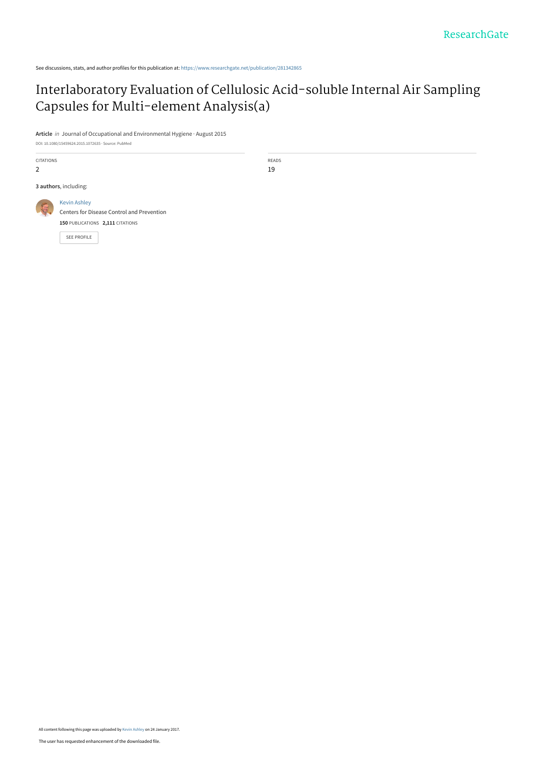See discussions, stats, and author profiles for this publication at: [https://www.researchgate.net/publication/281342865](https://www.researchgate.net/publication/281342865_Interlaboratory_Evaluation_of_Cellulosic_Acid-soluble_Internal_Air_Sampling_Capsules_for_Multi-element_Analysisa?enrichId=rgreq-7b290972cda76121025881a1b563a8c2-XXX&enrichSource=Y292ZXJQYWdlOzI4MTM0Mjg2NTtBUzo0NTQwODM4MTIzMDI4NDhAMTQ4NTI3MzQyNTYxMQ%3D%3D&el=1_x_2&_esc=publicationCoverPdf)

## [Interlaboratory Evaluation of Cellulosic Acid-soluble Internal Air Sampling](https://www.researchgate.net/publication/281342865_Interlaboratory_Evaluation_of_Cellulosic_Acid-soluble_Internal_Air_Sampling_Capsules_for_Multi-element_Analysisa?enrichId=rgreq-7b290972cda76121025881a1b563a8c2-XXX&enrichSource=Y292ZXJQYWdlOzI4MTM0Mjg2NTtBUzo0NTQwODM4MTIzMDI4NDhAMTQ4NTI3MzQyNTYxMQ%3D%3D&el=1_x_3&_esc=publicationCoverPdf) Capsules for Multi-element Analysis(a)

**Article** in Journal of Occupational and Environmental Hygiene · August 2015

DOI: 10.1080/15459624.2015.1072635 · Source: PubMed

CITATIONS 2 READS 19 **3 authors**, including: [Kevin Ashley](https://www.researchgate.net/profile/Kevin_Ashley?enrichId=rgreq-7b290972cda76121025881a1b563a8c2-XXX&enrichSource=Y292ZXJQYWdlOzI4MTM0Mjg2NTtBUzo0NTQwODM4MTIzMDI4NDhAMTQ4NTI3MzQyNTYxMQ%3D%3D&el=1_x_5&_esc=publicationCoverPdf) [Centers for Disease Control and Prevention](https://www.researchgate.net/institution/Centers_for_Disease_Control_and_Prevention?enrichId=rgreq-7b290972cda76121025881a1b563a8c2-XXX&enrichSource=Y292ZXJQYWdlOzI4MTM0Mjg2NTtBUzo0NTQwODM4MTIzMDI4NDhAMTQ4NTI3MzQyNTYxMQ%3D%3D&el=1_x_6&_esc=publicationCoverPdf) **150** PUBLICATIONS **2,111** CITATIONS [SEE PROFILE](https://www.researchgate.net/profile/Kevin_Ashley?enrichId=rgreq-7b290972cda76121025881a1b563a8c2-XXX&enrichSource=Y292ZXJQYWdlOzI4MTM0Mjg2NTtBUzo0NTQwODM4MTIzMDI4NDhAMTQ4NTI3MzQyNTYxMQ%3D%3D&el=1_x_7&_esc=publicationCoverPdf)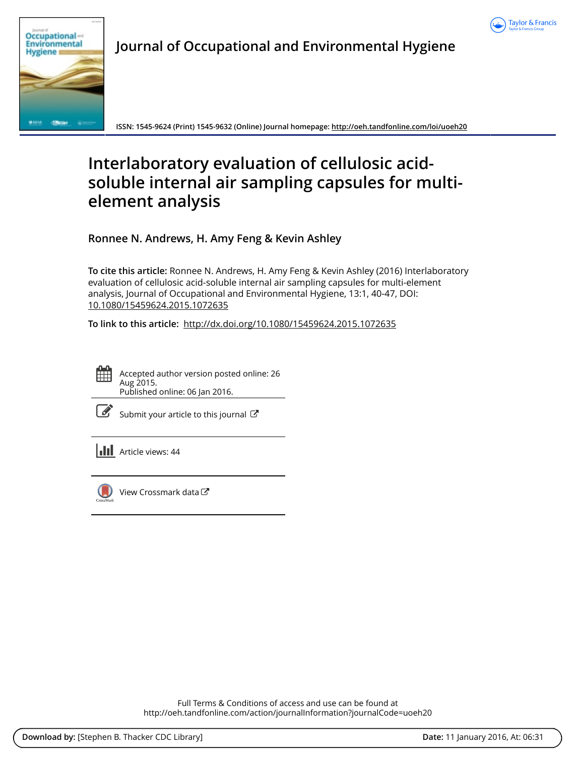



**Journal of Occupational and Environmental Hygiene**

**ISSN: 1545-9624 (Print) 1545-9632 (Online) Journal homepage:<http://oeh.tandfonline.com/loi/uoeh20>**

# **Interlaboratory evaluation of cellulosic acidsoluble internal air sampling capsules for multielement analysis**

**Ronnee N. Andrews, H. Amy Feng & Kevin Ashley**

**To cite this article:** Ronnee N. Andrews, H. Amy Feng & Kevin Ashley (2016) Interlaboratory evaluation of cellulosic acid-soluble internal air sampling capsules for multi-element analysis, Journal of Occupational and Environmental Hygiene, 13:1, 40-47, DOI: [10.1080/15459624.2015.1072635](http://oeh.tandfonline.com/action/showCitFormats?doi=10.1080/15459624.2015.1072635)

**To link to this article:** <http://dx.doi.org/10.1080/15459624.2015.1072635>



Accepted author version posted online: 26 Aug 2015. Published online: 06 Jan 2016.

| ł<br>۰. |
|---------|
|---------|

[Submit your article to this journal](http://oeh.tandfonline.com/action/authorSubmission?journalCode=uoeh20&page=instructions)  $\mathbb{Z}$ 

**III** Article views: 44



[View Crossmark data](http://crossmark.crossref.org/dialog/?doi=10.1080/15459624.2015.1072635&domain=pdf&date_stamp=2015-08-26)<sup>C</sup>

Full Terms & Conditions of access and use can be found at <http://oeh.tandfonline.com/action/journalInformation?journalCode=uoeh20>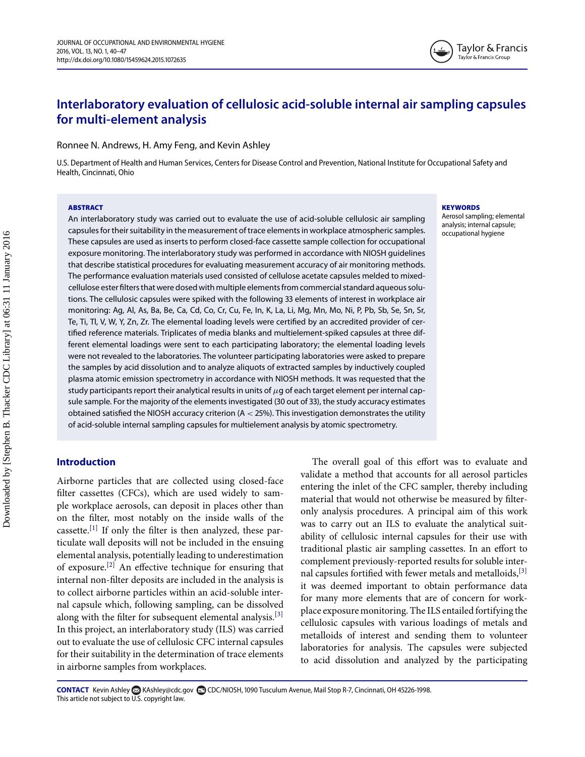### **Interlaboratory evaluation of cellulosic acid-soluble internal air sampling capsules for multi-element analysis**

Ronnee N. Andrews, H. Amy Feng, and Kevin Ashley

U.S. Department of Health and Human Services, Centers for Disease Control and Prevention, National Institute for Occupational Safety and Health, Cincinnati, Ohio

#### **ABSTRACT**

An interlaboratory study was carried out to evaluate the use of acid-soluble cellulosic air sampling capsules for their suitability in the measurement of trace elements in workplace atmospheric samples. These capsules are used as inserts to perform closed-face cassette sample collection for occupational exposure monitoring. The interlaboratory study was performed in accordance with NIOSH guidelines that describe statistical procedures for evaluating measurement accuracy of air monitoring methods. The performance evaluation materials used consisted of cellulose acetate capsules melded to mixedcellulose ester filters that were dosed with multiple elements from commercial standard aqueous solutions. The cellulosic capsules were spiked with the following 33 elements of interest in workplace air monitoring: Ag, Al, As, Ba, Be, Ca, Cd, Co, Cr, Cu, Fe, In, K, La, Li, Mg, Mn, Mo, Ni, P, Pb, Sb, Se, Sn, Sr, Te, Ti, Tl, V, W, Y, Zn, Zr. The elemental loading levels were certified by an accredited provider of certified reference materials. Triplicates of media blanks and multielement-spiked capsules at three different elemental loadings were sent to each participating laboratory; the elemental loading levels were not revealed to the laboratories. The volunteer participating laboratories were asked to prepare the samples by acid dissolution and to analyze aliquots of extracted samples by inductively coupled plasma atomic emission spectrometry in accordance with NIOSH methods. It was requested that the study participants report their analytical results in units of  $\mu$ g of each target element per internal capsule sample. For the majority of the elements investigated (30 out of 33), the study accuracy estimates obtained satisfied the NIOSH accuracy criterion  $(A < 25%)$ . This investigation demonstrates the utility of acid-soluble internal sampling capsules for multielement analysis by atomic spectrometry.

#### **Introduction**

Airborne particles that are collected using closed-face filter cassettes (CFCs), which are used widely to sample workplace aerosols, can deposit in places other than on the filter, most notably on the inside walls of the cassette.<sup>[\[1\]](#page-8-0)</sup> If only the filter is then analyzed, these particulate wall deposits will not be included in the ensuing elemental analysis, potentially leading to underestimation of exposure.<sup>[\[2\]](#page-8-1)</sup> An effective technique for ensuring that internal non-filter deposits are included in the analysis is to collect airborne particles within an acid-soluble internal capsule which, following sampling, can be dissolved along with the filter for subsequent elemental analysis.<sup>[\[3\]](#page-9-0)</sup> In this project, an interlaboratory study (ILS) was carried out to evaluate the use of cellulosic CFC internal capsules for their suitability in the determination of trace elements in airborne samples from workplaces.

**KEYWORDS**

Aerosol sampling; elemental analysis; internal capsule; occupational hygiene

The overall goal of this effort was to evaluate and validate a method that accounts for all aerosol particles entering the inlet of the CFC sampler, thereby including material that would not otherwise be measured by filteronly analysis procedures. A principal aim of this work was to carry out an ILS to evaluate the analytical suitability of cellulosic internal capsules for their use with traditional plastic air sampling cassettes. In an effort to complement previously-reported results for soluble inter-nal capsules fortified with fewer metals and metalloids, [\[3\]](#page-9-0) it was deemed important to obtain performance data for many more elements that are of concern for workplace exposure monitoring. The ILS entailed fortifying the cellulosic capsules with various loadings of metals and metalloids of interest and sending them to volunteer laboratories for analysis. The capsules were subjected to acid dissolution and analyzed by the participating

CONTACT Kevin Ashley & [KAshley@cdc.gov](mailto:KAshley@cdc.gov) **@** CDC/NIOSH, 1090 Tusculum Avenue, Mail Stop R-7, Cincinnati, OH 45226-1998. This article not subject to U.S. copyright law.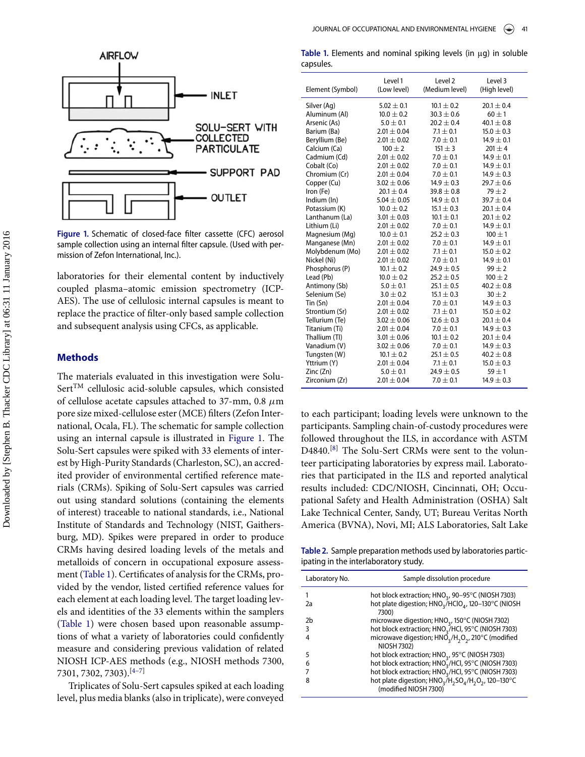<span id="page-3-0"></span>

**Figure 1.** Schematic of closed-face filter cassette (CFC) aerosol sample collection using an internal filter capsule. (Used with permission of Zefon International, Inc.).

laboratories for their elemental content by inductively coupled plasma–atomic emission spectrometry (ICP-AES). The use of cellulosic internal capsules is meant to replace the practice of filter-only based sample collection and subsequent analysis using CFCs, as applicable.

#### **Methods**

The materials evaluated in this investigation were Solu-Sert<sup>TM</sup> cellulosic acid-soluble capsules, which consisted of cellulose acetate capsules attached to 37-mm, 0.8  $\mu$ m pore size mixed-cellulose ester (MCE) filters (Zefon International, Ocala, FL). The schematic for sample collection using an internal capsule is illustrated in [Figure 1.](#page-3-0) The Solu-Sert capsules were spiked with 33 elements of interest by High-Purity Standards (Charleston, SC), an accredited provider of environmental certified reference materials (CRMs). Spiking of Solu-Sert capsules was carried out using standard solutions (containing the elements of interest) traceable to national standards, i.e., National Institute of Standards and Technology (NIST, Gaithersburg, MD). Spikes were prepared in order to produce CRMs having desired loading levels of the metals and metalloids of concern in occupational exposure assessment [\(Table 1\)](#page-3-1). Certificates of analysis for the CRMs, provided by the vendor, listed certified reference values for each element at each loading level. The target loading levels and identities of the 33 elements within the samplers [\(Table 1\)](#page-3-1) were chosen based upon reasonable assumptions of what a variety of laboratories could confidently measure and considering previous validation of related NIOSH ICP-AES methods (e.g., NIOSH methods 7300, 7301, 7302, 7303).[\[4–7\]](#page-9-1)

Triplicates o[f](#page-3-2) Solu-Sert capsules spiked at each loading level, plus media blanks (also in triplicate), were conveyed

<span id="page-3-1"></span>

| Table 1. Elements and nominal spiking levels (in $\mu$ g) in soluble |  |  |  |  |  |
|----------------------------------------------------------------------|--|--|--|--|--|
| capsules.                                                            |  |  |  |  |  |

| Element (Symbol) | Level 1<br>(Low level) | Level 2<br>(Medium level) | Level 3<br>(High level) |
|------------------|------------------------|---------------------------|-------------------------|
| Silver (Ag)      | $5.02 \pm 0.1$         | $10.1 + 0.2$              | $20.1 + 0.4$            |
| Aluminum (Al)    | $10.0 \pm 0.2$         | $30.3 + 0.6$              | $60 + 1$                |
| Arsenic (As)     | $5.0 \pm 0.1$          | $20.2 \pm 0.4$            | $40.1 \pm 0.8$          |
| Barium (Ba)      | $2.01 \pm 0.04$        | $7.1 \pm 0.1$             | $15.0 \pm 0.3$          |
| Beryllium (Be)   | $2.01 + 0.02$          | $7.0 + 0.1$               | $14.9 + 0.1$            |
| Calcium (Ca)     | $100 \pm 2$            | $151 \pm 3$               | $201 \pm 4$             |
| Cadmium (Cd)     | $2.01 + 0.02$          | $7.0 + 0.1$               | $14.9 + 0.1$            |
| Cobalt (Co)      | $2.01 \pm 0.02$        | $7.0 \pm 0.1$             | $14.9 \pm 0.1$          |
| Chromium (Cr)    | $2.01 + 0.04$          | $7.0 + 0.1$               | $14.9 \pm 0.3$          |
| Copper (Cu)      | $3.02 \pm 0.06$        | $14.9 \pm 0.3$            | $29.7 \pm 0.6$          |
| Iron (Fe)        | $20.1 \pm 0.4$         | $39.8 + 0.8$              | $79 + 2$                |
| Indium (In)      | $5.04 \pm 0.05$        | $14.9 \pm 0.1$            | $39.7 \pm 0.4$          |
| Potassium (K)    | $10.0 \pm 0.2$         | $15.1 + 0.3$              | $20.1 + 0.4$            |
| Lanthanum (La)   | $3.01 \pm 0.03$        | $10.1 \pm 0.1$            | $20.1 \pm 0.2$          |
| Lithium (Li)     | $2.01 \pm 0.02$        | $7.0 \pm 0.1$             | $14.9 \pm 0.1$          |
| Magnesium (Mg)   | $10.0 \pm 0.1$         | $25.2 + 0.3$              | $100 \pm 1$             |
| Manganese (Mn)   | $2.01 \pm 0.02$        | $7.0 \pm 0.1$             | $14.9 \pm 0.1$          |
| Molybdenum (Mo)  | $2.01 \pm 0.02$        | $7.1 + 0.1$               | $15.0 \pm 0.2$          |
| Nickel (Ni)      | $2.01 \pm 0.02$        | $7.0 \pm 0.1$             | $14.9 \pm 0.1$          |
| Phosphorus (P)   | $10.1 + 0.2$           | $24.9 + 0.5$              | $99 + 2$                |
| Lead (Pb)        | $10.0 \pm 0.2$         | $25.2 \pm 0.5$            | $100 \pm 2$             |
| Antimony (Sb)    | $5.0 \pm 0.1$          | $25.1 \pm 0.5$            | $40.2 \pm 0.8$          |
| Selenium (Se)    | $3.0 \pm 0.2$          | $15.1 \pm 0.3$            | $30 \pm 2$              |
| $T$ in $(Sn)$    | $2.01 \pm 0.04$        | $7.0 + 0.1$               | $14.9 + 0.3$            |
| Strontium (Sr)   | $2.01 \pm 0.02$        | $7.1 \pm 0.1$             | $15.0 \pm 0.2$          |
| Tellurium (Te)   | $3.02 \pm 0.06$        | $12.6 + 0.3$              | $20.1 + 0.4$            |
| Titanium (Ti)    | $2.01 \pm 0.04$        | $7.0 \pm 0.1$             | $14.9 \pm 0.3$          |
| Thallium (Tl)    | $3.01 + 0.06$          | $10.1 + 0.2$              | $20.1 + 0.4$            |
| Vanadium (V)     | $3.02 \pm 0.06$        | $7.0 \pm 0.1$             | $14.9 \pm 0.3$          |
| Tungsten (W)     | $10.1 + 0.2$           | $25.1 \pm 0.5$            | $40.2 \pm 0.8$          |
| Yttrium (Y)      | $2.01 \pm 0.04$        | $7.1 \pm 0.1$             | $15.0 \pm 0.3$          |
| Zinc (Zn)        | $5.0 + 0.1$            | $24.9 + 0.5$              | $59 + 1$                |
| Zirconium (Zr)   | $2.01 \pm 0.04$        | $7.0 \pm 0.1$             | $14.9 \pm 0.3$          |

to each participant; loading levels were unknown to the participants. Sampling chain-of-custody procedures were followed throughout the ILS, in accordance with ASTM D4840.<sup>[\[8\]](#page-9-2)</sup> The Solu-Sert CRMs were sent to the volunteer participating laboratories by express mail. Laboratories that participated in the ILS and reported analytical results included: CDC/NIOSH, Cincinnati, OH; Occupational Safety and Health Administration (OSHA) Salt Lake Technical Center, Sandy, UT; Bureau Veritas North America (BVNA), Novi, MI; ALS Laboratories, Salt Lake

<span id="page-3-2"></span>Table 2. Sample preparation methods used by laboratories participating in the interlaboratory study.

| Laboratory No. | Sample dissolution procedure                                                         |
|----------------|--------------------------------------------------------------------------------------|
|                | hot block extraction; HNO <sub>3</sub> , 90-95°C (NIOSH 7303)                        |
| 2a             | hot plate digestion; HNO <sub>3</sub> /HClO <sub>4</sub> , 120-130°C (NIOSH<br>7300) |
| 2 <sub>b</sub> | microwave digestion; HNO <sub>3</sub> , 150°C (NIOSH 7302)                           |
| 3              | hot block extraction; HNO <sub>3</sub> /HCl, 95°C (NIOSH 7303)                       |
| 4              | microwave digestion; $HNO3/H2O2$ , 210°C (modified<br><b>NIOSH 7302)</b>             |
| 5              | hot block extraction; HNO <sub>3</sub> , 95°C (NIOSH 7303)                           |
| 6              | hot block extraction; HNO <sub>3</sub> /HCl, 95°C (NIOSH 7303)                       |
|                | hot block extraction; HNO <sub>3</sub> /HCl, 95°C (NIOSH 7303)                       |
| Զ              | hot plate digestion; $HNO3/H2SO4/H2O2$ , 120-130°C<br>(modified NIOSH 7300)          |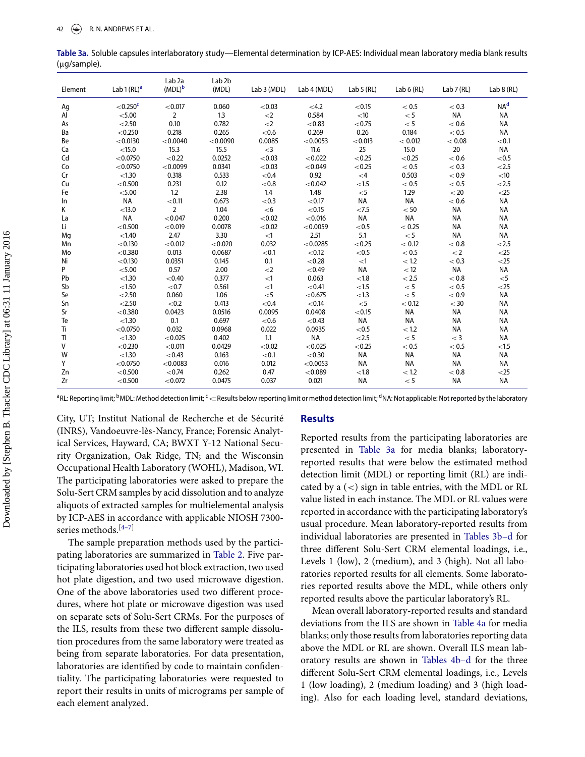| Element | Lab $1(RL)a$  | Lab <sub>2a</sub><br>$(MDL)^b$ | Lab <sub>2b</sub><br>(MDL) | Lab 3 (MDL) | Lab 4 (MDL) | Lab $5(RL)$ | Lab $6(RL)$ | Lab 7 (RL) | Lab $8$ (RL)    |
|---------|---------------|--------------------------------|----------------------------|-------------|-------------|-------------|-------------|------------|-----------------|
| Ag      | $<$ 0.250 $c$ | < 0.017                        | 0.060                      | < 0.03      | $<$ 4.2     | < 0.15      | < 0.5       | < 0.3      | NA <sup>d</sup> |
| Al      | < 5.00        | $\overline{2}$                 | 1.3                        | $<$ 2       | 0.584       | $<$ 10      | < 5         | <b>NA</b>  | <b>NA</b>       |
| As      | < 2.50        | 0.10                           | 0.782                      | $<$ 2       | < 0.83      | < 0.75      | < 5         | < 0.6      | <b>NA</b>       |
| Ba      | < 0.250       | 0.218                          | 0.265                      | $<0.6$      | 0.269       | 0.26        | 0.184       | < 0.5      | <b>NA</b>       |
| Be      | < 0.0130      | < 0.0040                       | < 0.0090                   | 0.0085      | < 0.0053    | < 0.013     | < 0.012     | < 0.08     | < 0.1           |
| Ca      | < 15.0        | 15.3                           | 15.5                       | $<$ 3       | 11.6        | 25          | 15.0        | 20         | <b>NA</b>       |
| Cd      | < 0.0750      | < 0.22                         | 0.0252                     | < 0.03      | < 0.022     | < 0.25      | < 0.25      | $< 0.6$    | < 0.5           |
| Co      | < 0.0750      | < 0.0099                       | 0.0341                     | < 0.03      | < 0.049     | < 0.25      | < 0.5       | < 0.3      | < 2.5           |
| Cr      | < 1.30        | 0.318                          | 0.533                      | < 0.4       | 0.92        | $\lt 4$     | 0.503       | < 0.9      | $<$ 10          |
| Cu      | < 0.500       | 0.231                          | 0.12                       | ${<}0.8$    | < 0.042     | < 1.5       | < 0.5       | < 0.5      | < 2.5           |
| Fe      | < 5.00        | 1.2                            | 2.38                       | 1.4         | 1.48        | $<$ 5       | 1.29        | < 20       | $<$ 25          |
| In      | <b>NA</b>     | < 0.11                         | 0.673                      | < 0.3       | < 0.17      | NA          | <b>NA</b>   | < 0.6      | NA              |
| Κ       | < 13.0        | $\overline{2}$                 | 1.04                       | $<$ 6       | < 0.15      | < 7.5       | < 50        | <b>NA</b>  | NA              |
| La      | <b>NA</b>     | < 0.047                        | 0.200                      | < 0.02      | < 0.016     | <b>NA</b>   | <b>NA</b>   | <b>NA</b>  | <b>NA</b>       |
| Li      | < 0.500       | < 0.019                        | 0.0078                     | ${<}0.02$   | < 0.0059    | < 0.5       | < 0.25      | <b>NA</b>  | <b>NA</b>       |
| Mg      | < 1.40        | 2.47                           | 3.30                       | <1          | 2.51        | 5.1         | < 5         | <b>NA</b>  | <b>NA</b>       |
| Mn      | < 0.130       | < 0.012                        | < 0.020                    | 0.032       | < 0.0285    | < 0.25      | < 0.12      | < 0.8      | < 2.5           |
| Mo      | < 0.380       | 0.013                          | 0.0687                     | < 0.1       | < 0.12      | < 0.5       | < 0.5       | < 2        | $<$ 25          |
| Ni      | < 0.130       | 0.0351                         | 0.145                      | 0.1         | < 0.28      | <1          | < 1.2       | < 0.3      | $<$ 25          |
| P       | < 5.00        | 0.57                           | 2.00                       | $<$ 2       | < 0.49      | <b>NA</b>   | < 12        | <b>NA</b>  | <b>NA</b>       |
| Pb      | < 1.30        | < 0.40                         | 0.377                      | <1          | 0.063       | < 1.8       | < 2.5       | < 0.8      | $<$ 5           |
| Sb      | < 1.50        | ${<}0.7$                       | 0.561                      | <1          | < 0.41      | < 1.5       | < 5         | < 0.5      | $<$ 25          |
| Se      | < 2.50        | 0.060                          | 1.06                       | $<$ 5       | < 0.675     | < 1.3       | < 5         | < 0.9      | <b>NA</b>       |
| Sn      | < 2.50        | < 0.2                          | 0.413                      | ${<}0.4$    | < 0.14      | $<$ 5       | < 0.12      | $<$ 30     | <b>NA</b>       |
| Sr      | < 0.380       | 0.0423                         | 0.0516                     | 0.0095      | 0.0408      | < 0.15      | <b>NA</b>   | <b>NA</b>  | <b>NA</b>       |
| Te      | < 1.30        | 0.1                            | 0.697                      | $<0.6$      | < 0.43      | <b>NA</b>   | <b>NA</b>   | <b>NA</b>  | <b>NA</b>       |
| Ti      | < 0.0750      | 0.032                          | 0.0968                     | 0.022       | 0.0935      | < 0.5       | < 1.2       | <b>NA</b>  | <b>NA</b>       |
| TI      | < 1.30        | < 0.025                        | 0.402                      | 1.1         | <b>NA</b>   | < 2.5       | < 5         | $<$ 3      | <b>NA</b>       |
| V       | < 0.230       | < 0.011                        | 0.0429                     | ${<}0.02$   | < 0.025     | < 0.25      | < 0.5       | < 0.5      | < 1.5           |
| W       | < 1.30        | < 0.43                         | 0.163                      | < 0.1       | < 0.30      | <b>NA</b>   | <b>NA</b>   | <b>NA</b>  | <b>NA</b>       |
| Y       | < 0.0750      | < 0.0083                       | 0.016                      | 0.012       | < 0.0053    | <b>NA</b>   | <b>NA</b>   | <b>NA</b>  | <b>NA</b>       |
| Zn      | < 0.500       | ${<}0.74$                      | 0.262                      | 0.47        | < 0.089     | < 1.8       | < 1.2       | < 0.8      | $<$ 25          |
| Zr      | < 0.500       | < 0.072                        | 0.0475                     | 0.037       | 0.021       | <b>NA</b>   | < 5         | <b>NA</b>  | <b>NA</b>       |

<span id="page-4-0"></span>Table 3a. Soluble capsules interlaboratory study—Elemental determination by ICP-AES: Individual mean laboratory media blank results (µg/sample).

<sup>a</sup>RL: Reporting limit; <sup>b</sup>MDL: Method detection limit; <sup>c</sup> <: Results below reporting limit or method detection limit; <sup>d</sup>NA: Not applicable: Not reported by the laboratory

City, UT; Institut National de Recherche et de Sécurité (INRS), Vandoeuvre-lès-Nancy, France; Forensic Analytical Services, Hayward, CA; BWXT Y-12 National Security Organization, Oak Ridge, TN; and the Wisconsin Occupational Health Laboratory (WOHL), Madison, WI. The participating laboratories were asked to prepare the Solu-Sert CRM samples by acid dissolution and to analyze aliquots of extracted samples for multielemental analysis by ICP-AES in accordance with applicable NIOSH 7300series methods.<sup>[4-7]</sup>

The sample preparation methods used by the participating laboratories are summarized in Table 2. Five participating laboratories used hot block extraction, two used hot plate digestion, and two used microwave digestion. One of the above laboratories used two different procedures, where hot plate or microwave digestion was used on separate sets of Solu-Sert CRMs. For the purposes of the ILS, results from these two different sample dissolution procedures from the same laboratory were treated as being from separate laboratories. For data presentation, laboratories are identified by code to maintain confidentiality. The participating laboratories were requested to report their results in units of micrograms per sample of each element analyzed.

#### **Results**

Reported results from the participating laboratories are presented in Table 3a for media blanks; laboratoryreported results that were below the estimated method detection limit (MDL) or reporting limit (RL) are indicated by a  $(<)$  sign in table entries, with the MDL or RL value listed in each instance. The MDL or RL values were reported in accordance with the participating laboratory's usual procedure. Mean laboratory-reported results from individual laboratories are presented in Tables 3b-d for three different Solu-Sert CRM elemental loadings, *i.e.*, Levels 1 (low), 2 (medium), and 3 (high). Not all laboratories reported results for all elements. Some laboratories reported results above the MDL, while others only reported results above the particular laboratory's RL.

Mean overall laboratory-reported results and standard deviations from the ILS are shown in Table 4a for media blanks; only those results from laboratories reporting data above the MDL or RL are shown. Overall ILS mean laboratory results are shown in Tables 4b-d for the three different Solu-Sert CRM elemental loadings, i.e., Levels 1 (low loading), 2 (medium loading) and 3 (high loading). Also for each loading level, standard deviations,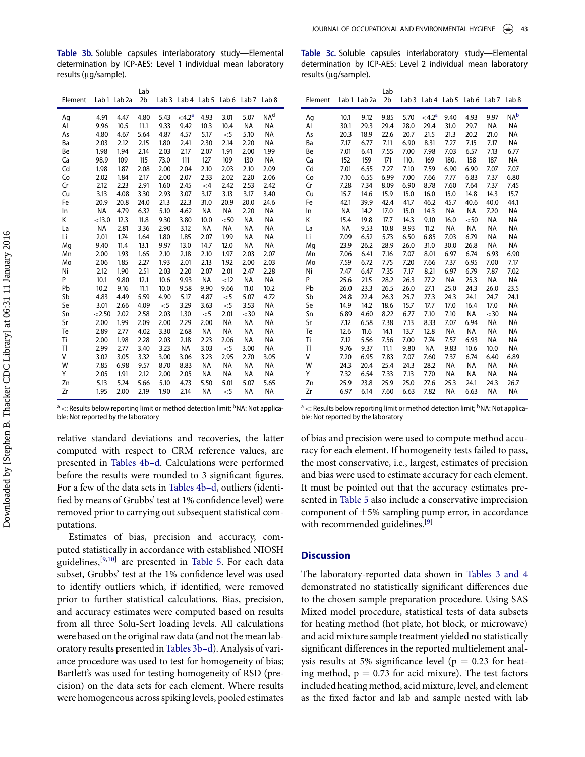Table 3b. Soluble capsules interlaboratory study-Elemental determination by ICP-AES: Level 1 individual mean laboratory results (µg/sample).

| Element |           | Lab 1 Lab 2a | Lab<br>2 <sub>b</sub> | Lab <sub>3</sub> | Lab <sub>4</sub>   | Lab <sub>5</sub> | Lab <sub>6</sub> | Lab <sub>7</sub> | Lab <sub>8</sub> |  |
|---------|-----------|--------------|-----------------------|------------------|--------------------|------------------|------------------|------------------|------------------|--|
|         |           |              |                       |                  |                    |                  |                  |                  |                  |  |
| Aq      | 4.91      | 4.47         | 4.80                  | 5.43             | < 4.2 <sup>a</sup> | 4.93             | 3.01             | 5.07             | NA <sup>d</sup>  |  |
| Al      | 9.96      | 10.5         | 11.1                  | 9.33             | 9.42               | 10.3             | 10.4             | <b>NA</b>        | ΝA               |  |
| As      | 4.80      | 4.67         | 5.64                  | 4.87             | 4.57               | 5.17             | $<$ 5            | 5.10             | <b>NA</b>        |  |
| Вa      | 2.03      | 2.12         | 2.15                  | 1.80             | 2.41               | 2.30             | 2.14             | 2.20             | <b>NA</b>        |  |
| Be      | 1.98      | 1.94         | 2.14                  | 2.03             | 2.17               | 2.07             | 1.91             | 2.00             | 1.99             |  |
| Ca      | 98.9      | 109          | 115                   | 73.0             | 111                | 127              | 109              | 130              | NA               |  |
| Cd      | 1.98      | 1.87         | 2.08                  | 2.00             | 2.04               | 2.10             | 2.03             | 2.10             | 2.09             |  |
| Co      | 2.02      | 1.84         | 2.17                  | 2.00             | 2.07               | 2.33             | 2.02             | 2.20             | 2.06             |  |
| Cr      | 2.12      | 2.23         | 2.91                  | 1.60             | 2.45               | $<$ 4            | 2.42             | 2.53             | 2.42             |  |
| Cu      | 3.13      | 4.08         | 3.30                  | 2.93             | 3.07               | 3.17             | 3.13             | 3.17             | 3.40             |  |
| Fe      | 20.9      | 20.8         | 24.0                  | 21.3             | 22.3               | 31.0             | 20.9             | 20.0             | 24.6             |  |
| In      | <b>NA</b> | 4.79         | 6.32                  | 5.10             | 4.62               | <b>NA</b>        | NA               | 2.20             | <b>NA</b>        |  |
| Κ       | < 13.0    | 12.3         | 11.8                  | 9.30             | 3.80               | 10.0             | $50$             | <b>NA</b>        | ΝA               |  |
| La      | <b>NA</b> | 2.81         | 3.36                  | 2.90             | 3.12               | ΝA               | ΝA               | <b>NA</b>        | ΝA               |  |
| Li      | 2.01      | 1.74         | 1.64                  | 1.80             | 1.85               | 2.07             | 1.99             | <b>NA</b>        | NA               |  |
| Mg      | 9.40      | 11.4         | 13.1                  | 9.97             | 13.0               | 14.7             | 12.0             | <b>NA</b>        | <b>NA</b>        |  |
| Mn      | 2.00      | 1.93         | 1.65                  | 2.10             | 2.18               | 2.10             | 1.97             | 2.03             | 2.07             |  |
| Mo      | 2.06      | 1.85         | 2.27                  | 1.93             | 2.01               | 2.13             | 1.92             | 2.00             | 2.03             |  |
| Ni      | 2.12      | 1.90         | 2.51                  | 2.03             | 2.20               | 2.07             | 2.01             | 2.47             | 2.28             |  |
| P       | 10.1      | 9.80         | 12.1                  | 10.6             | 9.93               | <b>NA</b>        | < 12             | <b>NA</b>        | NA               |  |
| Pb      | 10.2      | 9.16         | 11.1                  | 10.0             | 9.58               | 9.90             | 9.66             | 11.0             | 10.2             |  |
| Sb      | 4.83      | 4.49         | 5.59                  | 4.90             | 5.17               | 4.87             | $<$ 5            | 5.07             | 4.72             |  |
| Se      | 3.01      | 2.66         | 4.09                  | $<$ 5            | 3.29               | 3.63             | $<$ 5            | 3.53             | ΝA               |  |
| Sn      | < 2.50    | 2.02         | 2.58                  | 2.03             | 1.30               | $<$ 5            | 2.01             | $30$             | ΝA               |  |
| Sr      | 2.00      | 1.99         | 2.09                  | 2.00             | 2.29               | 2.00             | <b>NA</b>        | <b>NA</b>        | NA               |  |
| Te      | 2.89      | 2.77         | 4.02                  | 3.30             | 2.68               | <b>NA</b>        | <b>NA</b>        | <b>NA</b>        | ΝA               |  |
| Ti      | 2.00      | 1.98         | 2.28                  | 2.03             | 2.18               | 2.23             | 2.06             | <b>NA</b>        | ΝA               |  |
| TI      | 2.99      | 2.77         | 3.40                  | 3.23             | NA                 | 3.03             | $<$ 5            | 3.00             | <b>NA</b>        |  |
| V       | 3.02      | 3.05         | 3.32                  | 3.00             | 3.06               | 3.23             | 2.95             | 2.70             | 3.05             |  |
| W       | 7.85      | 6.98         | 9.57                  | 8.70             | 8.83               | <b>NA</b>        | NA               | <b>NA</b>        | <b>NA</b>        |  |
| Υ       | 2.05      | 1.91         | 2.12                  | 2.00             | 2.05               | NA               | <b>NA</b>        | <b>NA</b>        | <b>NA</b>        |  |
| Zn      | 5.13      | 5.24         | 5.66                  | 5.10             | 4.73               | 5.50             | 5.01             | 5.07             | 5.65             |  |
| Zr      | 1.95      | 2.00         | 2.19                  | 1.90             | 2.14               | <b>NA</b>        | $<$ 5            | <b>NA</b>        | <b>NA</b>        |  |

<sup>a</sup> <: Results below reporting limit or method detection limit; <sup>b</sup>NA: Not applicable: Not reported by the laboratory

relative standard deviations and recoveries, the latter computed with respect to CRM reference values, are presented in Tables 4b-d. Calculations were performed before the results were rounded to 3 significant figures. For a few of the data sets in Tables 4b-d, outliers (identified by means of Grubbs' test at 1% confidence level) were removed prior to carrying out subsequent statistical computations.

Estimates of bias, precision and accuracy, computed statistically in accordance with established NIOSH guidelines,<sup>[9,10]</sup> are presented in Table 5. For each data subset, Grubbs' test at the 1% confidence level was used to identify outliers which, if identified, were removed prior to further statistical calculations. Bias, precision, and accuracy estimates were computed based on results from all three Solu-Sert loading levels. All calculations were based on the original raw data (and not the mean laboratory results presented in Tables 3b-d). Analysis of variance procedure was used to test for homogeneity of bias; Bartlett's was used for testing homogeneity of RSD (precision) on the data sets for each element. Where results were homogeneous across spiking levels, pooled estimates

|                      |  |  |  | <b>Table 3c.</b> Soluble capsules interlaboratory study—Elemental |
|----------------------|--|--|--|-------------------------------------------------------------------|
|                      |  |  |  | determination by ICP-AES: Level 2 individual mean laboratory      |
| results (µq/sample). |  |  |  |                                                                   |

|         |           |              | Lab  |                  |                      |                  |           |                  |                  |
|---------|-----------|--------------|------|------------------|----------------------|------------------|-----------|------------------|------------------|
| Element |           | Lab 1 Lab 2a | 2b   | Lab <sub>3</sub> | Lab 4                | Lab <sub>5</sub> | Lab 6     | Lab <sub>7</sub> | Lab <sub>8</sub> |
| Aq      | 10.1      | 9.12         | 9.85 | 5.70             | $<$ 4.2 <sup>a</sup> | 9.40             | 4.93      | 9.97             | NA <sup>b</sup>  |
| Al      | 30.1      | 29.3         | 29.4 | 28.0             | 29.4                 | 31.0             | 29.7      | <b>NA</b>        | NA               |
| As      | 20.3      | 18.9         | 22.6 | 20.7             | 21.5                 | 21.3             | 20.2      | 21.0             | NA               |
| Ba      | 7.17      | 6.77         | 7.11 | 6.90             | 8.31                 | 7.27             | 7.15      | 7.17             | NA               |
| Be      | 7.01      | 6.41         | 7.55 | 7.00             | 7.98                 | 7.03             | 6.57      | 7.13             | 6.77             |
| Ca      | 152       | 159          | 171  | 110.             | 169                  | 180.             | 158       | 187              | <b>NA</b>        |
| Cd      | 7.01      | 6.55         | 7.27 | 7.10             | 7.59                 | 6.90             | 6.90      | 7.07             | 7.07             |
| Co      | 7.10      | 6.55         | 6.99 | 7.00             | 7.66                 | 7.77             | 6.83      | 7.37             | 6.80             |
| Cr      | 7.28      | 7.34         | 8.09 | 6.90             | 8.78                 | 7.60             | 7.64      | 7.37             | 7.45             |
| Cu      | 15.7      | 14.6         | 15.9 | 15.0             | 16.0                 | 15.0             | 14.8      | 14.3             | 15.7             |
| Fe      | 42.1      | 39.9         | 42.4 | 41.7             | 46.2                 | 45.7             | 40.6      | 40.0             | 44.1             |
| In      | <b>NA</b> | 14.2         | 17.0 | 15.0             | 14.3                 | <b>NA</b>        | <b>NA</b> | 7.20             | <b>NA</b>        |
| K       | 15.4      | 19.8         | 17.7 | 14.3             | 9.10                 | 16.0             | $50$      | <b>NA</b>        | ΝA               |
| La      | <b>NA</b> | 9.53         | 10.8 | 9.93             | 11.2                 | <b>NA</b>        | <b>NA</b> | <b>NA</b>        | <b>NA</b>        |
| Li      | 7.09      | 6.52         | 5.73 | 6.50             | 6.85                 | 7.03             | 6.79      | <b>NA</b>        | ΝA               |
| Mg      | 23.9      | 26.2         | 28.9 | 26.0             | 31.0                 | 30.0             | 26.8      | <b>NA</b>        | <b>NA</b>        |
| Mn      | 7.06      | 6.41         | 7.16 | 7.07             | 8.01                 | 6.97             | 6.74      | 6.93             | 6.90             |
| Mo      | 7.59      | 6.72         | 7.75 | 7.20             | 7.66                 | 7.37             | 6.95      | 7.00             | 7.17             |
| Ni      | 7.47      | 6.47         | 7.35 | 7.17             | 8.21                 | 6.97             | 6.79      | 7.87             | 7.02             |
| P       | 25.6      | 21.5         | 28.2 | 26.3             | 27.2                 | <b>NA</b>        | 25.3      | <b>NA</b>        | <b>NA</b>        |
| Pb      | 26.0      | 23.3         | 26.5 | 26.0             | 27.1                 | 25.0             | 24.3      | 26.0             | 23.5             |
| Sb      | 24.8      | 22.4         | 26.3 | 25.7             | 27.3                 | 24.3             | 24.1      | 24.7             | 24.1             |
| Se      | 14.9      | 14.2         | 18.6 | 15.7             | 17.7                 | 17.0             | 16.4      | 17.0             | ΝA               |
| Sn      | 6.89      | 4.60         | 8.22 | 6.77             | 7.10                 | 7.10             | <b>NA</b> | $30$             | NA               |
| Sr      | 7.12      | 6.58         | 7.38 | 7.13             | 8.33                 | 7.07             | 6.94      | <b>NA</b>        | ΝA               |
| Te      | 12.6      | 11.6         | 14.1 | 13.7             | 12.8                 | <b>NA</b>        | <b>NA</b> | <b>NA</b>        | NA               |
| Ti      | 7.12      | 5.56         | 7.56 | 7.00             | 7.74                 | 7.57             | 6.93      | <b>NA</b>        | ΝA               |
| TI      | 9.76      | 9.37         | 11.1 | 9.80             | <b>NA</b>            | 9.83             | 10.6      | 10.0             | NA               |
| V       | 7.20      | 6.95         | 7.83 | 7.07             | 7.60                 | 7.37             | 6.74      | 6.40             | 6.89             |
| W       | 24.3      | 20.4         | 25.4 | 24.3             | 28.2                 | <b>NA</b>        | <b>NA</b> | <b>NA</b>        | NA               |
| Υ       | 7.32      | 6.54         | 7.33 | 7.13             | 7.70                 | NA               | ΝA        | <b>NA</b>        | ΝA               |
| Zn      | 25.9      | 23.8         | 25.9 | 25.0             | 27.6                 | 25.3             | 24.1      | 24.3             | 26.7             |
| Zr      | 6.97      | 6.14         | 7.60 | 6.63             | 7.82                 | NA               | 6.63      | <b>NA</b>        | ΝA               |

<sup>a</sup> <: Results below reporting limit or method detection limit; <sup>b</sup>NA: Not applicable: Not reported by the laboratory

of bias and precision were used to compute method accuracy for each element. If homogeneity tests failed to pass, the most conservative, i.e., largest, estimates of precision and bias were used to estimate accuracy for each element. It must be pointed out that the accuracy estimates presented in Table 5 also include a conservative imprecision component of  $\pm 5\%$  sampling pump error, in accordance with recommended guidelines.<sup>[9]</sup>

#### **Discussion**

The laboratory-reported data shown in Tables 3 and 4 demonstrated no statistically significant differences due to the chosen sample preparation procedure. Using SAS Mixed model procedure, statistical tests of data subsets for heating method (hot plate, hot block, or microwave) and acid mixture sample treatment yielded no statistically significant differences in the reported multielement analysis results at 5% significance level ( $p = 0.23$  for heating method,  $p = 0.73$  for acid mixure). The test factors included heating method, acid mixture, level, and element as the fixed factor and lab and sample nested with lab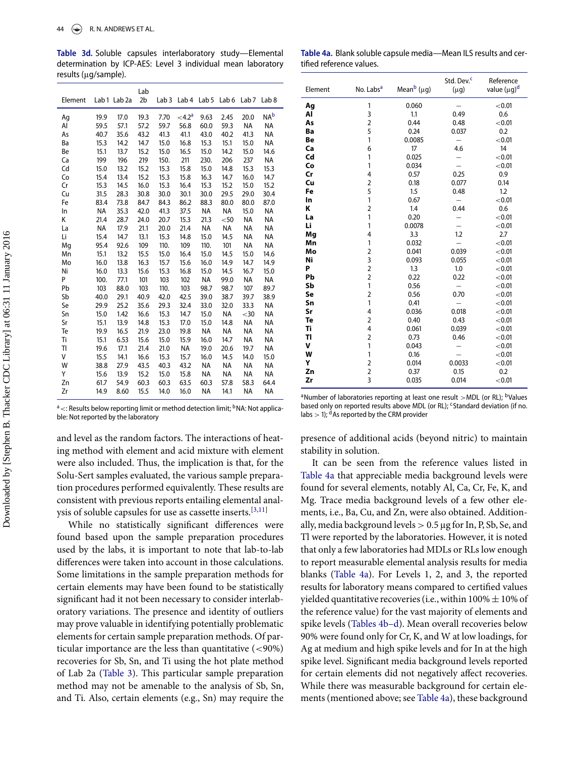Table 3d. Soluble capsules interlaboratory study-Elemental determination by ICP-AES: Level 3 individual mean laboratory results (µg/sample).

| Element | Lab <sub>1</sub> | Lab <sub>2a</sub> | Lab<br>2 <sub>b</sub> | Lab <sub>3</sub> | Lab <sub>4</sub>     | Lab <sub>5</sub> | Lab 6     | Lab <sub>7</sub> | Lab <sub>8</sub> |
|---------|------------------|-------------------|-----------------------|------------------|----------------------|------------------|-----------|------------------|------------------|
| Ag      | 19.9             | 17.0              | 19.3                  | 7.70             | $<$ 4.2 <sup>a</sup> | 9.63             | 2.45      | 20.0             | <b>NA</b> b      |
| Al      | 59.5             | 57.1              | 57.2                  | 59.7             | 56.8                 | 60.0             | 59.3      | <b>NA</b>        | <b>NA</b>        |
| As      | 40.7             | 35.6              | 43.2                  | 41.3             | 41.1                 | 43.0             | 40.2      | 41.3             | <b>NA</b>        |
| Ba      | 15.3             | 14.2              | 14.7                  | 15.0             | 16.8                 | 15.3             | 15.1      | 15.0             | <b>NA</b>        |
| Be      | 15.1             | 13.7              | 15.2                  | 15.0             | 16.5                 | 15.0             | 14.2      | 15.0             | 14.6             |
| Ca      | 199              | 196               | 219                   | 150.             | 211                  | 230.             | 206       | 237              | <b>NA</b>        |
| Cd      | 15.0             | 13.2              | 15.2                  | 15.3             | 15.8                 | 15.0             | 14.8      | 15.3             | 15.3             |
| Co      | 15.4             | 13.4              | 15.2                  | 15.3             | 15.8                 | 16.3             | 14.7      | 16.0             | 14.7             |
| Cr      | 15.3             | 14.5              | 16.0                  | 15.3             | 16.4                 | 15.3             | 15.2      | 15.0             | 15.2             |
| Cu      | 31.5             | 28.3              | 30.8                  | 30.0             | 30.1                 | 30.0             | 29.5      | 29.0             | 30.4             |
| Fe      | 83.4             | 73.8              | 84.7                  | 84.3             | 86.2                 | 88.3             | 80.0      | 80.0             | 87.0             |
| In      | <b>NA</b>        | 35.3              | 42.0                  | 41.3             | 37.5                 | <b>NA</b>        | <b>NA</b> | 15.0             | ΝA               |
| К       | 21.4             | 28.7              | 24.0                  | 20.7             | 15.3                 | 21.3             | $50$      | <b>NA</b>        | <b>NA</b>        |
| La      | <b>NA</b>        | 17.9              | 21.1                  | 20.0             | 21.4                 | NA               | NA        | NA               | ΝA               |
| Li      | 15.4             | 14.7              | 13.1                  | 15.3             | 14.8                 | 15.0             | 14.5      | <b>NA</b>        | ΝA               |
| Mg      | 95.4             | 92.6              | 109                   | 110.             | 109                  | 110.             | 101       | <b>NA</b>        | <b>NA</b>        |
| Mn      | 15.1             | 13.2              | 15.5                  | 15.0             | 16.4                 | 15.0             | 14.5      | 15.0             | 14.6             |
| Mo      | 16.0             | 13.8              | 16.3                  | 15.7             | 15.6                 | 16.0             | 14.9      | 14.7             | 14.9             |
| Ni      | 16.0             | 13.3              | 15.6                  | 15.3             | 16.8                 | 15.0             | 14.5      | 16.7             | 15.0             |
| P       | 100.             | 77.1              | 101                   | 103              | 102                  | <b>NA</b>        | 99.0      | ΝA               | NA               |
| Pb      | 103              | 88.0              | 103                   | 110.             | 103                  | 98.7             | 98.7      | 107              | 89.7             |
| Sb      | 40.0             | 29.1              | 40.9                  | 42.0             | 42.5                 | 39.0             | 38.7      | 39.7             | 38.9             |
| Se      | 29.9             | 25.2              | 35.6                  | 29.3             | 32.4                 | 33.0             | 32.0      | 33.3             | <b>NA</b>        |
| Sn      | 15.0             | 1.42              | 16.6                  | 15.3             | 14.7                 | 15.0             | <b>NA</b> | $30$             | <b>NA</b>        |
| Sr      | 15.1             | 13.9              | 14.8                  | 15.3             | 17.0                 | 15.0             | 14.8      | ΝA               | ΝA               |
| Te      | 19.9             | 16.5              | 21.9                  | 23.0             | 19.8                 | NA               | <b>NA</b> | <b>NA</b>        | <b>NA</b>        |
| Ti      | 15.1             | 6.53              | 15.6                  | 15.0             | 15.9                 | 16.0             | 14.7      | ΝA               | ΝA               |
| TI      | 19.6             | 17.1              | 21.4                  | 21.0             | NA                   | 19.0             | 20.6      | 19.7             | <b>NA</b>        |
| V       | 15.5             | 14.1              | 16.6                  | 15.3             | 15.7                 | 16.0             | 14.5      | 14.0             | 15.0             |
| W       | 38.8             | 27.9              | 43.5                  | 40.3             | 43.2                 | NA               | <b>NA</b> | ΝA               | NA               |
| Υ       | 15.6             | 13.9              | 15.2                  | 15.0             | 15.8                 | NA               | <b>NA</b> | <b>NA</b>        | <b>NA</b>        |
| Zn      | 61.7             | 54.9              | 60.3                  | 60.3             | 63.5                 | 60.3             | 57.8      | 58.3             | 64.4             |
| Zr      | 14.9             | 8.60              | 15.5                  | 14.0             | 16.0                 | <b>NA</b>        | 14.1      | <b>NA</b>        | <b>NA</b>        |

<sup>a</sup> <: Results below reporting limit or method detection limit; <sup>b</sup>NA: Not applicable: Not reported by the laboratory

and level as the random factors. The interactions of heating method with element and acid mixture with element were also included. Thus, the implication is that, for the Solu-Sert samples evaluated, the various sample preparation procedures performed equivalently. These results are consistent with previous reports entailing elemental anal-ysis of soluble capsules for use as cassette inserts.<sup>[\[3,](#page-9-0)[11\]](#page-9-5)</sup>

While no statistically significant differences were found based upon the sample preparation procedures used by the labs, it is important to note that lab-to-lab differences were taken into account in those calculations. Some limitations in the sample preparation methods for certain elements may have been found to be statistically significant had it not been necessary to consider interlaboratory variations. The presence and identity of outliers may prove valuable in identifying potentially problematic elements for certain sample preparation methods. Of particular importance are the less than quantitative (<90%) recoveries for Sb, Sn, and Ti using the hot plate method of Lab 2a [\(Table 3\)](#page-4-0). This particular sample preparation method may not be amenable to the analysis of Sb, Sn, and Ti. Also, certain elements (e.g., Sn) may require the

<span id="page-6-0"></span>Table 4a. Blank soluble capsule media—Mean ILS results and certified reference values.

| Element | No. Labs <sup>a</sup> | Mean <sup>b</sup> (µg) | Std. Dev. <sup>c</sup><br>$(\mu g)$ | Reference<br>value (µg) <sup>d</sup> |
|---------|-----------------------|------------------------|-------------------------------------|--------------------------------------|
| Αg      | 1                     | 0.060                  |                                     | < 0.01                               |
| Al      | 3                     | 1.1                    | 0.49                                | 0.6                                  |
| As      | $\overline{2}$        | 0.44                   | 0.48                                | < 0.01                               |
| Ba      | 5                     | 0.24                   | 0.037                               | 0.2                                  |
| Be      | 1                     | 0.0085                 |                                     | < 0.01                               |
| Ca      | 6                     | 17                     | 4.6                                 | 14                                   |
| Cd      | 1                     | 0.025                  |                                     | < 0.01                               |
| Co      | 1                     | 0.034                  |                                     | < 0.01                               |
| Cr      | 4                     | 0.57                   | 0.25                                | 0.9                                  |
| Cu      | $\overline{2}$        | 0.18                   | 0.077                               | 0.14                                 |
| Fe      | 5                     | 1.5                    | 0.48                                | 1.2                                  |
| In      | 1                     | 0.67                   |                                     | < 0.01                               |
| Κ       | $\overline{2}$        | 1.4                    | 0.44                                | 0.6                                  |
| La      | 1                     | 0.20                   |                                     | < 0.01                               |
| Li      | 1                     | 0.0078                 |                                     | < 0.01                               |
| Mg      | 4                     | 3.3                    | 1.2                                 | 2.7                                  |
| Mn      | 1                     | 0.032                  |                                     | < 0.01                               |
| Mo      | $\overline{2}$        | 0.041                  | 0.039                               | < 0.01                               |
| Ni      | 3                     | 0.093                  | 0.055                               | < 0.01                               |
| P       | $\overline{2}$        | 1.3                    | 1.0                                 | < 0.01                               |
| Pb      | $\overline{2}$        | 0.22                   | 0.22                                | < 0.01                               |
| Sb      | 1                     | 0.56                   |                                     | < 0.01                               |
| Se      | $\overline{2}$        | 0.56                   | 0.70                                | < 0.01                               |
| Sn      | 1                     | 0.41                   |                                     | < 0.01                               |
| Sr      | 4                     | 0.036                  | 0.018                               | < 0.01                               |
| Te      | $\overline{2}$        | 0.40                   | 0.43                                | < 0.01                               |
| Ti      | 4                     | 0.061                  | 0.039                               | < 0.01                               |
| TI      | $\overline{2}$        | 0.73                   | 0.46                                | < 0.01                               |
| v       | 1                     | 0.043                  |                                     | < 0.01                               |
| W       | 1                     | 0.16                   |                                     | < 0.01                               |
| Υ       | $\overline{2}$        | 0.014                  | 0.0033                              | < 0.01                               |
| Zn      | $\overline{2}$        | 0.37                   | 0.15                                | 0.2                                  |
| Zr      | $\overline{3}$        | 0.035                  | 0.014                               | < 0.01                               |

<sup>a</sup>Number of laboratories reporting at least one result >MDL (or RL); <sup>b</sup>Values based only on reported results above MDL (or RL); <sup>c</sup>Standard deviation (if no. labs  $>$  1); <sup>d</sup>As reported by the CRM provider

presence of additional acids (beyond nitric) to maintain stability in solution.

It can be seen from the reference values listed in [Table 4a](#page-6-0) that appreciable media background levels were found for several elements, notably Al, Ca, Cr, Fe, K, and Mg. Trace media background levels of a few other elements, i.e., Ba, Cu, and Zn, were also obtained. Additionally, media background levels > 0.5 µg for In, P, Sb, Se, and Tl were reported by the laboratories. However, it is noted that only a few laboratories had MDLs or RLs low enough to report measurable elemental analysis results for media blanks [\(Table 4a\)](#page-6-0). For Levels 1, 2, and 3, the reported results for laboratory means compared to certified values yielded quantitative recoveries (i.e., within  $100\% \pm 10\%$  of the reference value) for the vast majority of elements and spike levels (Tables 4b–d). Mean overall recoveries below 90% were found only for Cr, K, and W at low loadings, for Ag at medium and high spike levels and for In at the high spike level. Significant media background levels reported for certain elements did not negatively affect recoveries. While there was measurable background for certain elements (mentioned above; see [Table 4a\)](#page-6-0), these background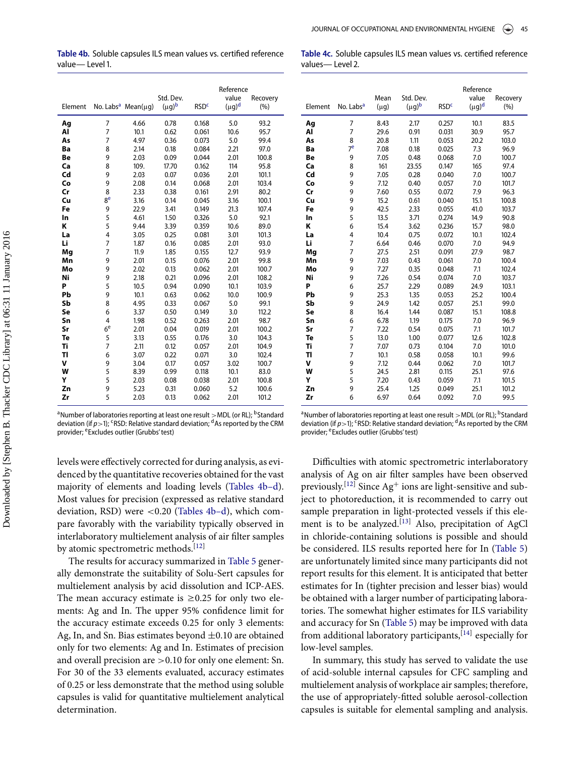Table 4b. Soluble capsules ILS mean values vs. certified reference value-Level 1.

|                  |  |  | Table 4c. Soluble capsules ILS mean values vs. certified reference |  |
|------------------|--|--|--------------------------------------------------------------------|--|
| values— Level 2. |  |  |                                                                    |  |

| Element |                | No. Labs <sup>a</sup> Mean( $\mu$ q) | Std. Dev.<br>$(\mu g)^b$ | <b>RSD<sup>c</sup></b> | Reference<br>value<br>$(\mu g)^d$ | Recovery<br>(%) |
|---------|----------------|--------------------------------------|--------------------------|------------------------|-----------------------------------|-----------------|
| Ag      | 7              | 4.66                                 | 0.78                     | 0.168                  | 5.0                               | 93.2            |
| Al      | $\overline{7}$ | 10.1                                 | 0.62                     | 0.061                  | 10.6                              | 95.7            |
| As      | 7              | 4.97                                 | 0.36                     | 0.073                  | 5.0                               | 99.4            |
| Ba      | 8              | 2.14                                 | 0.18                     | 0.084                  | 2.21                              | 97.0            |
| Be      | 9              | 2.03                                 | 0.09                     | 0.044                  | 2.01                              | 100.8           |
| Ca      | 8              | 109.                                 | 17.70                    | 0.162                  | 114                               | 95.8            |
| Cd      | 9              | 2.03                                 | 0.07                     | 0.036                  | 2.01                              | 101.1           |
| Co      | 9              | 2.08                                 | 0.14                     | 0.068                  | 2.01                              | 103.4           |
| Cr      | 8              | 2.33                                 | 0.38                     | 0.161                  | 2.91                              | 80.2            |
| Cu      | 8 <sup>e</sup> | 3.16                                 | 0.14                     | 0.045                  | 3.16                              | 100.1           |
| Fe      | 9              | 22.9                                 | 3.41                     | 0.149                  | 21.3                              | 107.4           |
| In      | 5              | 4.61                                 | 1.50                     | 0.326                  | 5.0                               | 92.1            |
| Κ       | 5              | 9.44                                 | 3.39                     | 0.359                  | 10.6                              | 89.0            |
| La      | 4              | 3.05                                 | 0.25                     | 0.081                  | 3.01                              | 101.3           |
| Li      | $\overline{7}$ | 1.87                                 | 0.16                     | 0.085                  | 2.01                              | 93.0            |
| Mg      | 7              | 11.9                                 | 1.85                     | 0.155                  | 12.7                              | 93.9            |
| Mn      | 9              | 2.01                                 | 0.15                     | 0.076                  | 2.01                              | 99.8            |
| Mo      | 9              | 2.02                                 | 0.13                     | 0.062                  | 2.01                              | 100.7           |
| Ni<br>P | 9<br>5         | 2.18                                 | 0.21<br>0.94             | 0.096                  | 2.01<br>10.1                      | 108.2           |
| Pb      | 9              | 10.5<br>10.1                         | 0.63                     | 0.090<br>0.062         | 10.0                              | 103.9<br>100.9  |
| Sb      | 8              | 4.95                                 | 0.33                     | 0.067                  | 5.0                               | 99.1            |
| Se      | 6              | 3.37                                 | 0.50                     | 0.149                  | 3.0                               | 112.2           |
| Sn      | 4              | 1.98                                 | 0.52                     | 0.263                  | 2.01                              | 98.7            |
| Sr      | 6 <sup>e</sup> | 2.01                                 | 0.04                     | 0.019                  | 2.01                              | 100.2           |
| Te      | 5              | 3.13                                 | 0.55                     | 0.176                  | 3.0                               | 104.3           |
| Ti      | 7              | 2.11                                 | 0.12                     | 0.057                  | 2.01                              | 104.9           |
| TI      | 6              | 3.07                                 | 0.22                     | 0.071                  | 3.0                               | 102.4           |
| v       | 9              | 3.04                                 | 0.17                     | 0.057                  | 3.02                              | 100.7           |
| W       | 5              | 8.39                                 | 0.99                     | 0.118                  | 10.1                              | 83.0            |
| Υ       | 5              | 2.03                                 | 0.08                     | 0.038                  | 2.01                              | 100.8           |
| Zn      | 9              | 5.23                                 | 0.31                     | 0.060                  | 5.2                               | 100.6           |
| Zr      | 5              | 2.03                                 | 0.13                     | 0.062                  | 2.01                              | 101.2           |

<sup>a</sup> Number of laboratories reporting at least one result >MDL (or RL); <sup>b</sup>Standard deviation (if  $p>1$ ); <sup>c</sup>RSD: Relative standard deviation; <sup>d</sup>As reported by the CRM provider; eExcludes outlier (Grubbs' test)

|         |                       |           |             |                        | Reference   |          |  |
|---------|-----------------------|-----------|-------------|------------------------|-------------|----------|--|
|         |                       | Mean      | Std. Dev.   |                        | value       | Recovery |  |
| Element | No. Labs <sup>a</sup> | $(\mu g)$ | $(\mu q)^b$ | <b>RSD<sup>c</sup></b> | $(\mu g)^d$ | (%)      |  |
| Ag      | 7                     | 8.43      | 2.17        | 0.257                  | 10.1        | 83.5     |  |
| Al      | $\overline{7}$        | 29.6      | 0.91        | 0.031                  | 30.9        | 95.7     |  |
| As      | 8                     | 20.8      | 1.11        | 0.053                  | 20.2        | 103.0    |  |
| Ba      | 7 <sup>e</sup>        | 7.08      | 0.18        | 0.025                  | 7.3         | 96.9     |  |
| Be      | 9                     | 7.05      | 0.48        | 0.068                  | 7.0         | 100.7    |  |
| Ca      | 8                     | 161       | 23.55       | 0.147                  | 165         | 97.4     |  |
| Cd      | 9                     | 7.05      | 0.28        | 0.040                  | 7.0         | 100.7    |  |
| Co      | 9                     | 7.12      | 0.40        | 0.057                  | 7.0         | 101.7    |  |
| Cr      | 9                     | 7.60      | 0.55        | 0.072                  | 7.9         | 96.3     |  |
| Cu      | 9                     | 15.2      | 0.61        | 0.040                  | 15.1        | 100.8    |  |
| Fe      | 9                     | 42.5      | 2.33        | 0.055                  | 41.0        | 103.7    |  |
| In      | 5                     | 13.5      | 3.71        | 0.274                  | 14.9        | 90.8     |  |
| K       | 6                     | 15.4      | 3.62        | 0.236                  | 15.7        | 98.0     |  |
| La      | 4                     | 10.4      | 0.75        | 0.072                  | 10.1        | 102.4    |  |
| Li      | 7                     | 6.64      | 0.46        | 0.070                  | 7.0         | 94.9     |  |
| Mg      | 7                     | 27.5      | 2.51        | 0.091                  | 27.9        | 98.7     |  |
| Mn      | 9                     | 7.03      | 0.43        | 0.061                  | 7.0         | 100.4    |  |
| Mo      | 9                     | 7.27      | 0.35        | 0.048                  | 7.1         | 102.4    |  |
| Ni      | 9                     | 7.26      | 0.54        | 0.074                  | 7.0         | 103.7    |  |
| P       | 6                     | 25.7      | 2.29        | 0.089                  | 24.9        | 103.1    |  |
| Pb      | 9                     | 25.3      | 1.35        | 0.053                  | 25.2        | 100.4    |  |
| Sb      | 9                     | 24.9      | 1.42        | 0.057                  | 25.1        | 99.0     |  |
| Se      | 8                     | 16.4      | 1.44        | 0.087                  | 15.1        | 108.8    |  |
| Sn      | 6                     | 6.78      | 1.19        | 0.175                  | 7.0         | 96.9     |  |
| Sr      | 7                     | 7.22      | 0.54        | 0.075                  | 7.1         | 101.7    |  |
| Te      | 5                     | 13.0      | 1.00        | 0.077                  | 12.6        | 102.8    |  |
| Ti      | $\overline{7}$        | 7.07      | 0.73        | 0.104                  | 7.0         | 101.0    |  |
| TI      | $\overline{7}$        | 10.1      | 0.58        | 0.058                  | 10.1        | 99.6     |  |
| v       | 9                     | 7.12      | 0.44        | 0.062                  | 7.0         | 101.7    |  |
| W       | 5                     | 24.5      | 2.81        | 0.115                  | 25.1        | 97.6     |  |
| Υ       | 5                     | 7.20      | 0.43        | 0.059                  | 7.1         | 101.5    |  |
| Zn      | 9                     | 25.4      | 1.25        | 0.049                  | 25.1        | 101.2    |  |
| Zr      | 6                     | 6.97      | 0.64        | 0.092                  | 7.0         | 99.5     |  |

<sup>a</sup>Number of laboratories reporting at least one result >MDL (or RL); <sup>b</sup>Standard deviation (if  $p$  > 1); <sup>c</sup>RSD: Relative standard deviation; <sup>d</sup>As reported by the CRM provider; eExcludes outlier (Grubbs' test)

levels were effectively corrected for during analysis, as evidenced by the quantitative recoveries obtained for the vast majority of elements and loading levels (Tables 4b–d). Most values for precision (expressed as relative standard deviation, RSD) were  $< 0.20$  (Tables 4b–d), which compare favorably with the variability typically observed in interlaboratory multielement analysis of air filter samples by atomic spectrometric methods.<sup>[\[12\]](#page-9-6)</sup>

The results for accuracy summarized in [Table 5](#page-8-2) generally demonstrate the suitability of Solu-Sert capsules for multielement analysis by acid dissolution and ICP-AES. The mean accuracy estimate is  $\geq 0.25$  for only two elements: Ag and In. The upper 95% confidence limit for the accuracy estimate exceeds 0.25 for only 3 elements: Ag, In, and Sn. Bias estimates beyond  $\pm 0.10$  are obtained only for two elements: Ag and In. Estimates of precision and overall precision are >0.10 for only one element: Sn. For 30 of the 33 elements evaluated, accuracy estimates of 0.25 or less demonstrate that the method using soluble capsules is valid for quantitative multielement analytical determination.

Difficulties with atomic spectrometric interlaboratory analysis of Ag on air filter samples have been observed previously.  $\left[ \text{ }^{[12]} \right]$  $\left[ \text{ }^{[12]} \right]$  $\left[ \text{ }^{[12]} \right]$  Since  $\text{Ag}^+$  ions are light-sensitive and subject to photoreduction, it is recommended to carry out sample preparation in light-protected vessels if this ele-ment is to be analyzed.<sup>[\[13\]](#page-9-7)</sup> Also, precipitation of AgCl in chloride-containing solutions is possible and should be considered. ILS results reported here for In [\(Table 5\)](#page-8-2) are unfortunately limited since many participants did not report results for this element. It is anticipated that better estimates for In (tighter precision and lesser bias) would be obtained with a larger number of participating laboratories. The somewhat higher estimates for ILS variability and accuracy for Sn [\(Table 5\)](#page-8-2) may be improved with data from additional laboratory participants,<sup>[\[14\]](#page-9-8)</sup> especially for low-level samples.

In summary, this study has served to validate the use of acid-soluble internal capsules for CFC sampling and multielement analysis of workplace air samples; therefore, the use of appropriately-fitted soluble aerosol-collection capsules is suitable for elemental sampling and analysis.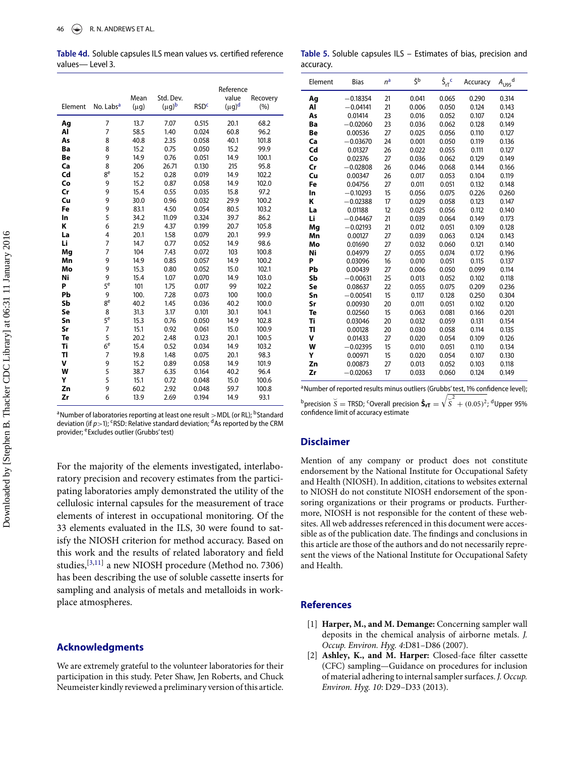Table 4d. Soluble capsules ILS mean values vs. certified reference values-Level 3.

| Element | No. Labs <sup>a</sup> | Mean<br>(µg) | Std. Dev.<br>(µg)b | <b>RSD<sup>c</sup></b> | Reference<br>value<br>(µg) <sup>d</sup> | Recovery<br>(%) |
|---------|-----------------------|--------------|--------------------|------------------------|-----------------------------------------|-----------------|
| Ag      | 7                     | 13.7         | 7.07               | 0.515                  | 20.1                                    | 68.2            |
| Al      | $\overline{7}$        | 58.5         | 1.40               | 0.024                  | 60.8                                    | 96.2            |
| As      | 8                     | 40.8         | 2.35               | 0.058                  | 40.1                                    | 101.8           |
| Ba      | 8                     | 15.2         | 0.75               | 0.050                  | 15.2                                    | 99.9            |
| Be      | 9                     | 14.9         | 0.76               | 0.051                  | 14.9                                    | 100.1           |
| Ca      | 8                     | 206          | 26.71              | 0.130                  | 215                                     | 95.8            |
| Cd      | 8 <sup>e</sup>        | 15.2         | 0.28               | 0.019                  | 14.9                                    | 102.2           |
| Co      | 9                     | 15.2         | 0.87               | 0.058                  | 14.9                                    | 102.0           |
| Cr      | 9                     | 15.4         | 0.55               | 0.035                  | 15.8                                    | 97.2            |
| Cu      | 9                     | 30.0         | 0.96               | 0.032                  | 29.9                                    | 100.2           |
| Fe      | 9                     | 83.1         | 4.50               | 0.054                  | 80.5                                    | 103.2           |
| In      | 5                     | 34.2         | 11.09              | 0.324                  | 39.7                                    | 86.2            |
| K       | 6                     | 21.9         | 4.37               | 0.199                  | 20.7                                    | 105.8           |
| La      | 4                     | 20.1         | 1.58               | 0.079                  | 20.1                                    | 99.9            |
| Li      | $\overline{7}$        | 14.7         | 0.77               | 0.052                  | 14.9                                    | 98.6            |
| Mg      | $\overline{7}$        | 104          | 7.43               | 0.072                  | 103                                     | 100.8           |
| Mn      | 9                     | 14.9         | 0.85               | 0.057                  | 14.9                                    | 100.2           |
| Mo      | 9                     | 15.3         | 0.80               | 0.052                  | 15.0                                    | 102.1           |
| Ni      | 9                     | 15.4         | 1.07               | 0.070                  | 14.9                                    | 103.0           |
| P       | 5 <sup>e</sup>        | 101          | 1.75               | 0.017                  | 99                                      | 102.2           |
| Pb      | 9                     | 100.         | 7.28               | 0.073                  | 100                                     | 100.0           |
| Sb      | 8e                    | 40.2         | 1.45               | 0.036                  | 40.2                                    | 100.0           |
| Se      | 8                     | 31.3         | 3.17               | 0.101                  | 30.1                                    | 104.1           |
| Sn      | 5e                    | 15.3         | 0.76               | 0.050                  | 14.9                                    | 102.8           |
| Sr      | 7                     | 15.1         | 0.92               | 0.061                  | 15.0                                    | 100.9           |
| Te      | 5                     | 20.2         | 2.48               | 0.123                  | 20.1                                    | 100.5           |
| Ti      | 6 <sup>e</sup>        | 15.4         | 0.52               | 0.034                  | 14.9                                    | 103.2           |
| TI      | 7                     | 19.8         | 1.48               | 0.075                  | 20.1                                    | 98.3            |
| v       | 9                     | 15.2         | 0.89               | 0.058                  | 14.9                                    | 101.9           |
| W<br>Y  | 5<br>5                | 38.7         | 6.35               | 0.164                  | 40.2                                    | 96.4            |
| Zn      | 9                     | 15.1<br>60.2 | 0.72<br>2.92       | 0.048<br>0.048         | 15.0<br>59.7                            | 100.6           |
| Zr      | 6                     | 13.9         | 2.69               | 0.194                  | 14.9                                    | 100.8<br>93.1   |
|         |                       |              |                    |                        |                                         |                 |

<sup>a</sup>Number of laboratories reporting at least one result >MDL (or RL); <sup>b</sup>Standard deviation (if  $p$  > 1); <sup>c</sup>RSD: Relative standard deviation; <sup>d</sup>As reported by the CRM provider; <sup>e</sup>Excludes outlier (Grubbs' test)

For the majority of the elements investigated, interlaboratory precision and recovery estimates from the participating laboratories amply demonstrated the utility of the cellulosic internal capsules for the measurement of trace elements of interest in occupational monitoring. Of the 33 elements evaluated in the ILS, 30 were found to satisfy the NIOSH criterion for method accuracy. Based on this work and the results of related laboratory and field studies,[\[3,](#page-9-0)[11\]](#page-9-5) a new NIOSH procedure (Method no. 7306) has been describing the use of soluble cassette inserts for sampling and analysis of metals and metalloids in workplace atmospheres.

#### **Acknowledgments**

We are extremely grateful to the volunteer laboratories for their participation in this study. Peter Shaw, Jen Roberts, and Chuck Neumeister kindly reviewed a preliminary version of this article.

<span id="page-8-2"></span>Table 5. Soluble capsules ILS - Estimates of bias, precision and accuracy.

| Element | <b>Bias</b> | n <sup>a</sup> | ζb    | $\hat{S}_{rT}^{\ \ c}$ | Accuracy | d<br>$A_{U95}$ |
|---------|-------------|----------------|-------|------------------------|----------|----------------|
| Ag      | $-0.18354$  | 21             | 0.041 | 0.065                  | 0.290    | 0.314          |
| Al      | $-0.04141$  | 21             | 0.006 | 0.050                  | 0.124    | 0.143          |
| As      | 0.01414     | 23             | 0.016 | 0.052                  | 0.107    | 0.124          |
| Ba      | $-0.02060$  | 23             | 0.036 | 0.062                  | 0.128    | 0.149          |
| Be      | 0.00536     | 27             | 0.025 | 0.056                  | 0.110    | 0.127          |
| Ca      | $-0.03670$  | 24             | 0.001 | 0.050                  | 0.119    | 0.136          |
| Cd      | 0.01327     | 26             | 0.022 | 0.055                  | 0.111    | 0.127          |
| Co      | 0.02376     | 27             | 0.036 | 0.062                  | 0.129    | 0.149          |
| Cr      | $-0.02808$  | 26             | 0.046 | 0.068                  | 0.144    | 0.166          |
| Cu      | 0.00347     | 26             | 0.017 | 0.053                  | 0.104    | 0.119          |
| Fe      | 0.04756     | 27             | 0.011 | 0.051                  | 0.132    | 0.148          |
| In      | $-0.10293$  | 15             | 0.056 | 0.075                  | 0.226    | 0.260          |
| Κ       | $-0.02388$  | 17             | 0.029 | 0.058                  | 0.123    | 0.147          |
| La      | 0.01188     | 12             | 0.025 | 0.056                  | 0.112    | 0.140          |
| Li      | $-0.04467$  | 21             | 0.039 | 0.064                  | 0.149    | 0.173          |
| Mq      | $-0.02193$  | 21             | 0.012 | 0.051                  | 0.109    | 0.128          |
| Mn      | 0.00127     | 27             | 0.039 | 0.063                  | 0.124    | 0.143          |
| Mo      | 0.01690     | 27             | 0.032 | 0.060                  | 0.121    | 0.140          |
| Ni      | 0.04979     | 27             | 0.055 | 0.074                  | 0.172    | 0.196          |
| P       | 0.03096     | 16             | 0.010 | 0.051                  | 0.115    | 0.137          |
| Pb      | 0.00439     | 27             | 0.006 | 0.050                  | 0.099    | 0.114          |
| Sb      | $-0.00631$  | 25             | 0.013 | 0.052                  | 0.102    | 0.118          |
| Se      | 0.08637     | 22             | 0.055 | 0.075                  | 0.209    | 0.236          |
| Sn      | $-0.00541$  | 15             | 0.117 | 0.128                  | 0.250    | 0.304          |
| Sr      | 0.00930     | 20             | 0.011 | 0.051                  | 0.102    | 0.120          |
| Te      | 0.02560     | 15             | 0.063 | 0.081                  | 0.166    | 0.201          |
| Ti      | 0.03046     | 20             | 0.032 | 0.059                  | 0.131    | 0.154          |
| ΤI      | 0.00128     | 20             | 0.030 | 0.058                  | 0.114    | 0.135          |
| v       | 0.01433     | 27             | 0.020 | 0.054                  | 0.109    | 0.126          |
| W       | $-0.02395$  | 15             | 0.010 | 0.051                  | 0.110    | 0.134          |
| Υ       | 0.00971     | 15             | 0.020 | 0.054                  | 0.107    | 0.130          |
| Zn      | 0.00873     | 27             | 0.013 | 0.052                  | 0.103    | 0.118          |
| Zr      | $-0.02063$  | 17             | 0.033 | 0.060                  | 0.124    | 0.149          |

<sup>a</sup>Number of reported results minus outliers (Grubbs' test, 1% confidence level);

 $^{\text{b}}$  precision  $\check{S}$  = TRSD; <sup>c</sup>Overall precision  $\hat{\mathbf{S}}_{rT} = \sqrt{\overline{S}^2 + (0.05)^2}$ , <sup>d</sup>Upper 95% confidence limit of accuracy estimate

#### **Disclaimer**

Mention of any company or product does not constitute endorsement by the National Institute for Occupational Safety and Health (NIOSH). In addition, citations to websites external to NIOSH do not constitute NIOSH endorsement of the sponsoring organizations or their programs or products. Furthermore, NIOSH is not responsible for the content of these websites. All web addresses referenced in this document were accessible as of the publication date. The findings and conclusions in this article are those of the authors and do not necessarily represent the views of the National Institute for Occupational Safety and Health.

#### **References**

- <span id="page-8-0"></span>[1] **Harper, M., and M. Demange:** Concerning sampler wall deposits in the chemical analysis of airborne metals. *J. Occup. Environ. Hyg. 4*:D81–D86 (2007).
- <span id="page-8-1"></span>[2] **Ashley, K., and M. Harper:** Closed-face filter cassette (CFC) sampling—Guidance on procedures for inclusion of material adhering to internal sampler surfaces. *J. Occup. Environ. Hyg. 10*: D29–D33 (2013).